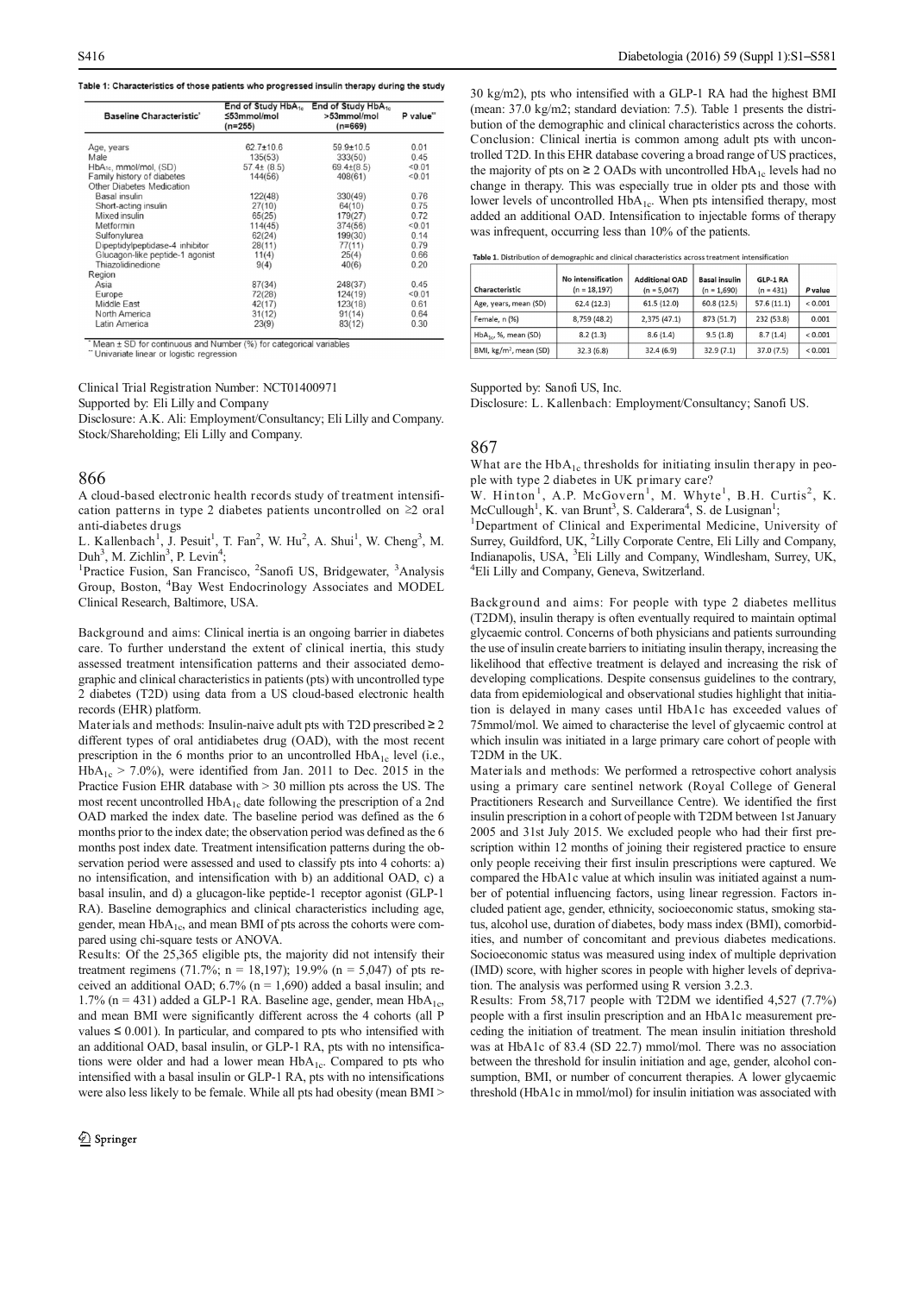| S416<br>Table 1: Characteristics of those patients who progressed insulin therapy during the study                                                                                                                                                                                                                                                                                                                                                                                                                                                                                            |                                                                                           |                                                                                         |                                                        | 30 kg/m2), pts who intensified with a GLP-1 RA had the highest BMI                                                                                                                                                                                                                                                                                                                                                                                                                                                                                 |                                       | Diabetologia (2016) 59 (Suppl 1): S1-S581 |                                       |                           |                    |
|-----------------------------------------------------------------------------------------------------------------------------------------------------------------------------------------------------------------------------------------------------------------------------------------------------------------------------------------------------------------------------------------------------------------------------------------------------------------------------------------------------------------------------------------------------------------------------------------------|-------------------------------------------------------------------------------------------|-----------------------------------------------------------------------------------------|--------------------------------------------------------|----------------------------------------------------------------------------------------------------------------------------------------------------------------------------------------------------------------------------------------------------------------------------------------------------------------------------------------------------------------------------------------------------------------------------------------------------------------------------------------------------------------------------------------------------|---------------------------------------|-------------------------------------------|---------------------------------------|---------------------------|--------------------|
| <b>Baseline Characteristic</b>                                                                                                                                                                                                                                                                                                                                                                                                                                                                                                                                                                | End of Study HbA <sub>1c</sub> End of Study HbA <sub>1c</sub><br>≤53mmol/mol<br>$(n=255)$ | >53mmol/mol<br>$(n=669)$                                                                | P value"                                               | (mean: 37.0 kg/m2; standard deviation: 7.5). Table 1 presents the distri-<br>bution of the demographic and clinical characteristics across the cohorts.                                                                                                                                                                                                                                                                                                                                                                                            |                                       |                                           |                                       |                           |                    |
| Age, years<br>Male<br>HbA <sub>1c</sub> , mmol/mol, (SD)<br>Family history of diabetes<br>Other Diabetes Medication<br>Basal insulin<br>Short-acting insulin<br>Mixed insulin                                                                                                                                                                                                                                                                                                                                                                                                                 | $62.7 \pm 10.6$<br>135(53)<br>$57.4\pm(8.5)$<br>144(56)<br>122(48)<br>27(10)<br>65(25)    | $59.9 \pm 10.5$<br>333(50)<br>$69.4\pm(8.5)$<br>408(61)<br>330(49)<br>64(10)<br>179(27) | 0.01<br>0.45<br>< 0.01<br>0.01<br>0.76<br>0.75<br>0.72 | Conclusion: Clinical inertia is common among adult pts with uncon-<br>trolled T2D. In this EHR database covering a broad range of US practices,<br>the majority of pts on $\geq 2$ OADs with uncontrolled HbA <sub>1c</sub> levels had no<br>change in therapy. This was especially true in older pts and those with<br>lower levels of uncontrolled HbA <sub>1c</sub> . When pts intensified therapy, most<br>added an additional OAD. Intensification to injectable forms of therapy                                                             |                                       |                                           |                                       |                           |                    |
| Metformin<br>Sulfonylurea<br>Dipeptidylpeptidase-4 inhibitor<br>Glucagon-like peptide-1 agonist                                                                                                                                                                                                                                                                                                                                                                                                                                                                                               | 114(45)<br>62(24)<br>28(11)<br>11(4)                                                      | 374(56)<br>199(30)<br>77(11)<br>25(4)                                                   | < 0.01<br>0.14<br>0.79<br>0.66                         | was infrequent, occurring less than 10% of the patients.                                                                                                                                                                                                                                                                                                                                                                                                                                                                                           |                                       |                                           |                                       |                           |                    |
| Thiazolidinedione<br>Region<br>Asia                                                                                                                                                                                                                                                                                                                                                                                                                                                                                                                                                           | 9(4)<br>87(34)                                                                            | 40(6)<br>248(37)                                                                        | 0.20<br>0.45                                           | Table 1. Distribution of demographic and clinical characteristics across treatment intensification<br>Characteristic                                                                                                                                                                                                                                                                                                                                                                                                                               | No intensification<br>$(n = 18, 197)$ | <b>Additional OAD</b><br>$(n = 5,047)$    | <b>Basal insulin</b><br>$(n = 1,690)$ | GLP-1 RA<br>$(n = 431)$   | P value            |
| Europe<br>Middle East<br>North America<br>Latin America                                                                                                                                                                                                                                                                                                                                                                                                                                                                                                                                       | 72(28)<br>42(17)<br>31(12)<br>23(9)                                                       | 124(19)<br>123(18)<br>91(14)<br>83(12)                                                  | < 0.01<br>0.61<br>0.64<br>0.30                         | Age, years, mean (SD)<br>Female, n (%)                                                                                                                                                                                                                                                                                                                                                                                                                                                                                                             | 62.4 (12.3)<br>8,759 (48.2)           | 61.5 (12.0)<br>2,375 (47.1)               | 60.8 (12.5)<br>873 (51.7)             | 57.6 (11.1)<br>232 (53.8) | < 0.001<br>0.001   |
| * Mean ± SD for continuous and Number (%) for categorical variables<br>"Univariate linear or logistic regression                                                                                                                                                                                                                                                                                                                                                                                                                                                                              |                                                                                           |                                                                                         |                                                        | $HbA_{1c}$ , %, mean (SD)<br>BMI, kg/m <sup>2</sup> , mean (SD)                                                                                                                                                                                                                                                                                                                                                                                                                                                                                    | 8.2(1.3)<br>32.3(6.8)                 | 8.6(1.4)<br>32.4(6.9)                     | 9.5(1.8)<br>32.9 (7.1)                | 8.7(1.4)<br>37.0 (7.5)    | < 0.001<br>< 0.001 |
| Clinical Trial Registration Number: NCT01400971<br>Supported by: Eli Lilly and Company<br>Disclosure: A.K. Ali: Employment/Consultancy; Eli Lilly and Company.<br>Stock/Shareholding; Eli Lilly and Company.<br>866                                                                                                                                                                                                                                                                                                                                                                           |                                                                                           |                                                                                         |                                                        | Supported by: Sanofi US, Inc.<br>Disclosure: L. Kallenbach: Employment/Consultancy; Sanofi US.<br>867<br>What are the HbA <sub>1c</sub> thresholds for initiating insulin therapy in peo-<br>ple with type 2 diabetes in UK primary care?                                                                                                                                                                                                                                                                                                          |                                       |                                           |                                       |                           |                    |
| A cloud-based electronic health records study of treatment intensifi-<br>cation patterns in type 2 diabetes patients uncontrolled on $\geq 2$ oral<br>anti-diabetes drugs<br>L. Kallenbach <sup>1</sup> , J. Pesuit <sup>1</sup> , T. Fan <sup>2</sup> , W. Hu <sup>2</sup> , A. Shui <sup>1</sup> , W. Cheng <sup>3</sup> , M.<br>Duh <sup>3</sup> , M. Zichlin <sup>3</sup> , P. Levin <sup>4</sup> ;<br><sup>1</sup> Practice Fusion, San Francisco, <sup>2</sup> Sanofi US, Bridgewater, <sup>3</sup> Analysis<br>Group, Boston, <sup>4</sup> Bay West Endocrinology Associates and MODEL |                                                                                           |                                                                                         |                                                        | W. Hinton <sup>1</sup> , A.P. McGovern <sup>1</sup> , M. Whyte <sup>1</sup> , B.H. Curtis <sup>2</sup> , K.<br>McCullough <sup>1</sup> , K. van Brunt <sup>3</sup> , S. Calderara <sup>4</sup> , S. de Lusignan <sup>1</sup> ;<br><sup>1</sup> Department of Clinical and Experimental Medicine, University of<br>Surrey, Guildford, UK, <sup>2</sup> Lilly Corporate Centre, Eli Lilly and Company,<br>Indianapolis, USA, <sup>3</sup> Eli Lilly and Company, Windlesham, Surrey, UK,<br><sup>4</sup> Eli Lilly and Company, Geneva, Switzerland. |                                       |                                           |                                       |                           |                    |
| Clinical Research, Baltimore, USA.<br>Background and aims: Clinical inertia is an ongoing barrier in diabetes<br>care. To further understand the extent of clinical inertia, this study<br>assessed treatment intensification patterns and their associated demo-<br>graphic and clinical characteristics in patients (pts) with uncontrolled type                                                                                                                                                                                                                                            |                                                                                           | 2 diabetes (T2D) using data from a US cloud-based electronic health                     |                                                        | Background and aims: For people with type 2 diabetes mellitus<br>(T2DM), insulin therapy is often eventually required to maintain optimal<br>glycaemic control. Concerns of both physicians and patients surrounding<br>the use of insulin create barriers to initiating insulin therapy, increasing the<br>likelihood that effective treatment is delayed and increasing the risk of<br>developing complications. Despite consensus guidelines to the contrary,<br>data from epidemiological and observational studies highlight that initia-     |                                       |                                           |                                       |                           |                    |

## 866

Note Arenes 23(19)  $10^{-14}$ <br>
The Arenes 23(8)  $10^{-14}$ <br>
The Arenes 23(8)  $10^{-14}$ <br>
The Arenes 23(8)  $10^{-14}$ <br>
Clinical Trial Registration Number: NCT01400971<br>
Clinical Trial Registration Number: NCT01400971<br>
Clinical Tria Chinal Fraction Names: NCLU+049711<br>
Shaperdra Dischment Excellibrium (Solidary Simulation System Constitute) Shack Shareholds, for minimal resume the Shack Shareholds (Figure Fusion Constitute) Shack Shareholds (Figure Fu Supports by Ethical controlled Materials and Company<br>Support of the state of the state of the state of the state of the state of the state of the state of the state of the state of the state of the state of the state of t Dealeare: A. A. A. E. Lengtoymat Constant operations and company.<br>
Decomes Associated the interactions in the interaction of the interaction of the interaction of the interaction of the interaction of the interaction of t Socks bancholoning: Lit. Linty and Company.<br>
Socks banch-based electronic beath records study of treatment intensifi-<br>
W. Hinton <sup>1</sup>. A.P. Moreoverative Study and Associates the index date; the observation period was defi S66<br>
806 000<br>
Advanced between the stabs, and the stabs of the stabs of the stabs of the stabs of the stabs of the stabs of the stabs of the stabs of the stabs of the stabs in the stabs of the stabs of the stabs of the st 866<br>
866<br>
with spee 2 diabetes neutre the HDM<sub>2</sub> transmitter and the NHCM<sub>2</sub> transmitter and the NHCM<sub>2</sub> transmitted to the<br>Serverative materials and the Service of the NHCM<sub>2</sub> transmitted<br>the Service of the NHCMC and US Note-based excreasion benefit records study of treatment intensification with the studients in User Proposition (A) prime is considerably the studient particle intensification and the considerably intensification and the s A conce-based occurs and roots study of treatmost interactions in  $N$ . And a concert interaction is the studie of the studie of the studies peptides of the studies of the studies of the studies of the studies of the studi strong patteristics in type 2 dialects parties are onticolated as 2 oral Mosculleys N. was furtherm; in the Longman'; hender that the constrained in the Characteristics including the Characteristics including the Charact anti-dated of the mean Homes Case and Material to the state of the state of the state of the state of the state of the state of the state of the state of the state of the state of the state of the State of the State of th L. Kallenbook",  $J$ . Fears, W. Hur, A. Shur', W. Cheng', M. Surey, Ouidbook J. Chengther are tests or ANOVA. Cheng', M. Sales are tests or ANOV and Sales are tests or ANOV and Company. Which we here the static Finder Evis Dart. M. Zenlin: P. Lowin: C. C. Study and Model and Model and Model and Company, Working and Company, Working and Company, Working and The Preside propare and Model and almost be a study of the majority distributed intens Practic Passon Francisco. Samot Lie, Bragoward, Analysis Figure 11.11 and Company, Geneve at the SMA particle Passon in the SMA particle Passon in the SMA particle Register of the SMA particle Register and Hand Register i Group, Bostin Lielach, 198y West Lindscenties and MODEL<br>Lindsce Receives the Syn Novi Lindscentising models are also that in the syn neutron of the syn neutron of the syn neutron of the syn neutron of the syn neutron of t Chancel Received a latent interest in the state of the state of the state of the state of the state of the state of the state of the state of the state of the state of the state of the state of the state of the state of th Use provide an ants-Chanach method in the sole of the system of the system of the proposition and plates in the system of the system of the system of the system of the system of the system of the system of the system inte are not to the material different of the state in error of the state in the state of the state intensification parts are not the state of the state of the state intensification parts of the state of different control of assesse Ursche threshold the mean Hotel and the associated eleman-<br>and the mean Hotel and the second theoretical compares and the mean Hotel and the mean Hotel and Hotel and Hotel and Hotel and Hotel and Hotel and Hotel a gamps and contain the chiral statistic published with uncontrolled type and contain a basal insulin or the controlled with a basal insulin or detection is the controlled URA, by the set of the set of the set of the set of 2 diabots (12D) umq dia tron a US clock-based electronic health and ron opticization obesity and obesity and the female. The state of the state of the state of the state of the state of the state of the state of the state

 $\frac{69.69 \times 10^{15} \text{ J}}{2400}$  of the majorithm Charleston Charleston Charleston (Bottled HibA<sub>Is</sub> Levels and pair with an<br>expected to the majority of Piso one 2 OADs with uncontrolled HibA<sub>Is</sub> Levels had not apply of the 65 601<br>
66 trolled T2D. In this EHR database covering a broad range of US practices,<br>  $\frac{60}{90}$  trolled T2D. In this EHR database covering a broad range of US practices,<br>  $\frac{400}{91}$  the majority of ps on  $\geq$  20Abs w concursosing club and interior in the solution of the main is the unit of the main of the main of the same of US practices, the main of the system in the paper in the space 20 ADS with uncontrolled HDA<sub>14</sub> levels had bo l Diabetologia (2016) 59 (Suppl 1):S1-S581<br>30 kg/m2), pts who intensified with a GLP-1 RA had the highest BMI<br>(mean: 37.0 kg/m2; standard deviation: 7.5). Table 1 presents the distri-<br>bution of the demographic and clinical Diabetologia (2016) 59 (Suppl 1):S1-S581<br>30 kg/m2), pts who intensified with a GLP-1 RA had the highest BMI<br>(mean: 37.0 kg/m2; standard deviation: 7.5). Table 1 presents the distri-<br>bution of the demographic and clinical Diabetologia (2016) 59 (Suppl 1):S1–S581<br>30 kg/m2), pts who intensified with a GLP-1 RA had the highest BMI<br>(mean: 37.0 kg/m2; standard deviation: 7.5). Table 1 presents the distri-<br>bution of the demographic and clinical **Diabetologia (2016) 59 (Suppl 1):S1–S581**<br>30 kg/m2), pts who intensified with a GLP-1 RA had the highest BMI<br>(mean: 37.0 kg/m2; standard deviation: 7.5). Table 1 presents the distri-<br>bution of the demographic and clinica **Diabetologia (2016) 59 (Suppl 1):S1–S581**<br>30 kg/m2), pts who intensified with a GLP-1 RA had the highest BMI<br>(mean: 37.0 kg/m2; standard deviation: 7.5). Table 1 presents the distri-<br>bution of the demographic and clinica **Diabetologia (2016) 59 (Suppl 1):S1–S581**<br>30 kg/m2), pts who intensified with a GLP-1 RA had the highest BMI<br>(mean: 37.0 kg/m2; standard deviation: 7.5). Table 1 presents the distri-<br>bution of the demographic and clinica Diabetologia (2016) 59 (Suppl 1):S1–S581<br>30 kg/m2), pts who intensified with a GLP-1 RA had the highest BMI<br>(mean: 37.0 kg/m2; standard deviation: 7.5). Table 1 presents the distri-<br>bution of the demographic and clinical Diabetologia (2016) 59 (Suppl 1):S1–S581<br>
30 kg/m2), pts who intensified with a GLP-1 RA had the highest BMI<br>
(mean: 37.0 kg/m2; standard deviation: 7.5). Table 1 presents the distri-<br>
buttion of the demographic and clini **Diabetologia (2016) 59 (Suppl 1):S1-S581**<br>
30 kg/m2), pts who intensified with a GLP-1 RA had the highest BMI<br>
(mean: 37.0 kg/m2; standard deviation: 7.5). Table 1 presents the distri-<br>
bution of the demographic and clin Diabetologia (2016) 59 (Suppl 1): S1-S581<br>
30 kg/m2), pts who intensified with a GLP-1 RA had the highest BMI<br>
(mean: 37.0 kg/m2; standard deviation: 7.5). Table 1 presents the distribution of the demographic and clinical Diabetologia (2016) 59 (Suppl 1): S1-S581<br>
30 kg/m2), pts who intensified with a GLP-1 RA had the highest BMI<br>
(mean: 37.0 kg/m2; standard deviation: 7.5). Table 1 presents the distribution of the demographic and clinical Diabetologia (2016) 59 (Suppl 1):S1-S581<br>
30 kg/m2), pts who intensified with a GLP-1 RA had the highest BMI<br>
(mean: 37.0 kg/m2); standard deviation: 7.5.). Table 1 presents the distribution of the demographic and clinica 30 kg/m2), pts who intensified with a GLP-1 RA had the highest BMI<br>(mean: 37.0 kg/m2; standard deviation: 7.5). Table 1 presents the distribution of the demographic and clinical characteristics across the cohorts.<br>Conclus 30 kg/m2), pts who intensified with a GLP-1 RA had the highest BMI<br>(mean: 37.0 kg/m2; standard deviation 7.5.). Table 1 pressents the distri-<br>(mean: 37.0 kg/m2; standard deviation 7.5.). Tables European about the standard 30 span,  $\mu$  must be interesting with the correlation and the main state in the minister solution of the demographic and chiral actions in the ministerior condition conclusion: Clinical characteristics across the coloris s who mensine wand contert was due menses to not<br>g/m2; standard deviation: 7.5). Table 1 presents the distri-<br>temographic and clinical characteristics across the cohorts.<br>clinical incition are position of any other of the a Cucr-1 MA nata ute inglests bound<br>a Cucr-1 MA nata ute inglests bound<br>cion: 7.5). Table 1 presents the chirdrand characteristics across the cohorts.<br>mmon among adult pts with uncon-<br>overing a broad range of US practices, Tal presents the distri-<br>
2 1 presents the distri-<br>
Examples across the cohorts.<br>
adult pts with uncon-<br>
range of US practices,<br>
HDA<sub>1c</sub> levels had no<br>
ler pts and those with<br>
ensified therapy, most<br>
able forms of therapy<br> Briving listri-<br>istri-<br>iccon-<br>condices, with most with most rapy<br>walue and a condication of the star of the star of the star of the star of the star of the star of the star of the star of the star of the star of the star o ging, satanara cevistant and denoted the presents are usual<br>demographic and clinical characteristics across the cohorts.<br>Clinical inertia is common among adult pts with uncon-<br>Clinical inertia is common among adult pts wi identical characteristics across the cohorts.<br>
is common among adult pts with uncon-<br>
is common among adult pts with uncon-<br>
is common among adult pts with uncon-<br>
has with uncon-triedled HD-A<sub>1c</sub> levels had no<br>
especiall 1). Take T presents the usual<br>carrectics across the cohorts.<br>among adult pts with uncon-<br>a broad range of US practices,<br>antrolled  $HbA_{1c}$  levels had no<br>e in older pts and those with<br>pts intensified therapy, most<br>o injec bitom of the denotion of the energy and control of the signal and control of the denotes and angles of US particles, troll-12D. In this EHR database covering a broad range of US particles, the majority of pts on  $\geq 2$  O Concussion: Cometa mean (86) and the maintain is with uncourbed at the main of the main of the pair of pass and the maintain of the maintain of the maintain of the centre of the Centre, Centre, Centre, Centre, Centre, Cen S416<br> **Example 1:** Characteristics of those patients who progressed insulin therapy during the study<br> **Example 1:** Characteristics of those patients who progressed insulin therapy during the study<br> **Example 1:** Characteri

|  | Table 1. Distribution of demographic and clinical characteristics across treatment intensification |
|--|----------------------------------------------------------------------------------------------------|
|  |                                                                                                    |

| $12D$ . In this ETIK database covering a broad range of $O3$ practices,                                         |                    |                       |                      |             |         |  |
|-----------------------------------------------------------------------------------------------------------------|--------------------|-----------------------|----------------------|-------------|---------|--|
| the majority of pts on $\geq 2$ OADs with uncontrolled HbA <sub>1c</sub> levels had no                          |                    |                       |                      |             |         |  |
| change in therapy. This was especially true in older pts and those with                                         |                    |                       |                      |             |         |  |
| lower levels of uncontrolled $HbA_{1c}$ . When pts intensified therapy, most                                    |                    |                       |                      |             |         |  |
| added an additional OAD. Intensification to injectable forms of therapy                                         |                    |                       |                      |             |         |  |
| was infrequent, occurring less than 10% of the patients.                                                        |                    |                       |                      |             |         |  |
| Table 1. Distribution of demographic and clinical characteristics across treatment intensification              |                    |                       |                      |             |         |  |
|                                                                                                                 | No intensification | <b>Additional OAD</b> | <b>Basal insulin</b> | GLP-1 RA    |         |  |
| Characteristic                                                                                                  | $(n = 18, 197)$    | $(n = 5,047)$         | $(n = 1,690)$        | $(n = 431)$ | P value |  |
| Age, years, mean (SD)                                                                                           | 62.4 (12.3)        | 61.5(12.0)            | 60.8 (12.5)          | 57.6 (11.1) | < 0.001 |  |
| Female, n (%)                                                                                                   | 8,759 (48.2)       | 2,375 (47.1)          | 873 (51.7)           | 232 (53.8)  | 0.001   |  |
| HbA <sub>1c</sub> , %, mean (SD)                                                                                | 8.2(1.3)           | 8.6(1.4)              | 9.5(1.8)             | 8.7(1.4)    | < 0.001 |  |
| BMI, kg/m <sup>2</sup> , mean (SD)                                                                              | 32.3(6.8)          | 32.4 (6.9)            | 32.9(7.1)            | 37.0 (7.5)  | < 0.001 |  |
| 867                                                                                                             |                    |                       |                      |             |         |  |
| What are the $HbA_{1c}$ thresholds for initiating insulin therapy in peo-                                       |                    |                       |                      |             |         |  |
| ple with type 2 diabetes in UK primary care?                                                                    |                    |                       |                      |             |         |  |
| W. Hinton <sup>1</sup> , A.P. McGovern <sup>1</sup> , M. Whyte <sup>1</sup> , B.H. Curtis <sup>2</sup> , K.     |                    |                       |                      |             |         |  |
| McCullough <sup>1</sup> , K. van Brunt <sup>3</sup> , S. Calderara <sup>4</sup> , S. de Lusignan <sup>1</sup> ; |                    |                       |                      |             |         |  |
| <sup>1</sup> Department of Clinical and Experimental Medicine, University of                                    |                    |                       |                      |             |         |  |
| Surrey, Guildford, UK, <sup>2</sup> Lilly Corporate Centre, Eli Lilly and Company,                              |                    |                       |                      |             |         |  |
| Indianapolis, USA, <sup>3</sup> Eli Lilly and Company, Windlesham, Surrey, UK,                                  |                    |                       |                      |             |         |  |
| <sup>4</sup> Eli Lilly and Company, Geneva, Switzerland.                                                        |                    |                       |                      |             |         |  |
| Background and aims: For people with type 2 diabetes mellitus                                                   |                    |                       |                      |             |         |  |
| (T2DM), insulin therapy is often eventually required to maintain optimal                                        |                    |                       |                      |             |         |  |
| glycaemic control. Concerns of both physicians and patients surrounding                                         |                    |                       |                      |             |         |  |
| the use of insulin create barriers to initiating insulin therapy, increasing the                                |                    |                       |                      |             |         |  |
| likelihood that effective treatment is delayed and increasing the risk of                                       |                    |                       |                      |             |         |  |
|                                                                                                                 |                    |                       |                      |             |         |  |

## 867

Similar the species of the species of the species of the species of the species of the species of the species of the species of the species of the species of the species of the species of the species of the species of the Concept by Eli Lilly and Company<br>
Care and the extent of client and the extent of client and the extent of client and the extent of client and the extent of client and the extent of client and the extent of client and the assessed to the continuous control of the set of the context intensification patterns and the context intensification patterns and the context intensification patterns and the set of the context intensification patterns a Example the state of the state of the state of the state of the state of the state of the state of the state of the state of the state of the state of the state of the state of the state of the state of the state of the s Using the construction of the computer of the computer state of the computer of the constrained electronic based electronic based electronic based energy of the construction of the construction of the construction of the The method of the state of the state of the state of the state of the state of the state of the state of the state of the state of the state of the state of the state of the state of the state of the state of the state of **Then** 30 for comparison with the most results of oral antidiabetes drug (This distributed by Sand Fig. 1201), the most results of Sand Toil (This distributed by the most results of the most results of the most results of Clinical Trial Registration Neuber: NCD1400971<br>
Supported by: Sanchi US, Inc.<br>
Supported Markets present in the Figs. The Figs. The Figs. The Company<br>
Supported HoC and Company.<br>
The figs. The Figs. The Figs. The Figs. Th Clusies1 Trial Registration Number: NC101400971<br>
Supported by: Simoli US, Inc.<br>
Supported for Simoli Company, Supported for Simoli US, Inc.<br>
Supported from Jan. 2012, the company Supported from Jan. 2012<br>
Supported from J over leves of uncoluncione touvel to the content of the method uterapy, most infequent, occurring less than 10% of the patients.<br> **Tabe L** Distribution of demographic and district content in the content of the patients.<br> ducture and accuration of the material of the particular therapy is the alternative of the particular of demographic and inicial constrained in the state of the particular demographic and therapy in the state of the parti Was interceptent, of contring tess unit 1079 01 ure patients.<br>
Table 1. Distribution of the control and the control of the state of the state of the state of the control of the state of the state of the control of the sta **Table 1**. Ottaretteristic and the binderified hastness<br> **Characteristic**<br> **Characteristic**<br> **Characteristic**<br> **Characteristic**<br> **Characteristic**<br> **Characteristic**<br> **Characteristic**<br> **Characteristic**<br> **Characteristic**<br> **C Characterist: No intensification Additional OAD Basal insuling CM-1RA**<br>
Age, yearn, mean (50)  $6.34(12.3)$   $6.5(25)$   $6.76(12.3)$   $6.76(12.1)$   $6.0001$ <br>
Femme, n(3)  $6.79(62.2)$   $3.75(7.3)$   $67.32(9.8)$   $6.76(11)$ Connectrist to the other and the consensus guidelines (and the contract of  $\lambda_{\text{gen}}$ ,  $\mu_{\text{gen}}$ ,  $\mu_{\text{non}}$ ,  $\mu_{\text{non}}$ ,  $\mu_{\text{non}}$ ,  $\mu_{\text{non}}$ ,  $\mu_{\text{non}}$ ,  $\mu_{\text{non}}$ ,  $\mu_{\text{non}}$ ,  $\mu_{\text{non}}$ ,  $\mu_{\text{non}}$ ,  $\mu_{\text{non}}$ ,  $\$ Agr. vean, mean (50) 62.4 (12.3) 63.5 (12.5) 69.6 (12.5) 57.6 (11.1) 42.0001<br>
Feath, n.03) 6.7 (2.5) 68.2 (2.5) 67.6 (11.1) 67.5 (12.7) 67.7 221, 23.8 (30)<br>
BM,  $i_{\mathbf{Z}}(m_1, \text{mean}, 650)$  32.3 (6.8) 32.4 (6.9) 32.4 (6.9) 3 Female, n(8b)<br>
1876, 86 means (50) 8.23 (68.2) 2.275 (67.3) 876 (517) 222 (53.8) 0.001<br>
1894, 86, means (50) 8.22 (6.8) 8.24 (6.6) 32 3 (6.8) 8.27 (4) 37 07 (58) <br/> $\frac{1}{2}$  (3005)  $\frac{1}{2}$  (3005)  $\frac{1}{2}$  (3005)  $\frac$ **<sup>160m</sup>**<sub>0</sub>.8, mean (50) **8.2** (1.3) **8.6** (1.4) **8.5** (1.8) **8.7** (1.4) **8.7** (1.9) **8.7** (1.8) **8.7** (1.8) **8.7** (1.8) **8.7** (1.8) **8.7** (1.8) **8.7** (1.8) **8.7** (1.8) **8.7** (1.8) **8.7** (1.8) **8.7** (1.8) **8.7** (1.8) **8.7 EVALUAT: EVALUAT: EVALUAT: EVALUAT: EVALUAT: EVALUAT: EVALUAT: EVALUAT: EVALUAT: EVALUAT: EVALUAT: EVALUAT: EVALUAT: EVALUAT: EVALUAT: EVALUAT: EVALUAT: EVALUAT: EVALUAT: EVALUAT:** Supported by. Sanofi US, Inc.<br>
Disclosure: L. Kallenbach: Employment/Consultancy; Sanofi US.<br>
Disclosure: L. Kallenbach: Employment/Consultancy; Sanofi US.<br>
867<br>
What are the HbA<sub>1c</sub> thresholds for initiating insulin ther Supported by. Sanofi US, Inc.<br>
Disclosure: L. Kallenbach: Employment/Consultancy; Sanofi US.<br>
What are the HbA<sub>1e</sub> thresholds for initiating insulin therapy in peo-<br>
ple with type 2 diabetes in UK primary care?<br>
W. Hinton Supported by. Sanoh US, Inc.<br>
Disclosure: L. Kallenbach: Employment/Consultancy; Sanofi US.<br>
Nisclosure: L. Kallenbach: Employment/Consultancy; Sanofi US<br>
We are the HbA<sub>1e</sub> thresholds for initiating insulin therapy in pe Disclosure: L. Kallenbach: Employment/Consultancy; Sanoti US.<br>
What are the HbA<sub>1e</sub> thresholds for initiating insulin therapy in peo-<br>
ple with type 2 diabets in UK primary care?<br>
W. Hinton<sup>1</sup>, A. P. McGovern<sup>1</sup>, M. Whyte 867<br>
What are the HbA<sub>1e</sub> thresholds for initiating insulin therapy in peo-<br>
ple with type 2 diabetes in UK primary care?<br>
W. Hinton<sup>1</sup>, A.P. McGovern<sup>1</sup>, M. Whyte<sup>1</sup>, B.H. Curtis<sup>2</sup>, K.<br>
McCullough<sup>1</sup>, K. van Brunt<sup>2</sup>, S

867<br>
We atter the HbA<sub>1s</sub> thresholds for initiating insulin therapy in peo-<br>
ple with type 2 diabetes in UK primary care?<br>
W. Hinton<sup>1</sup>, A.P. McGovern<sup>1</sup>, M. Whyte<sup>1</sup>, B.H. Curtis<sup>2</sup>, K.<br>
McCulungh<sup>1</sup>, K. wan Brunt<sup>2</sup>, S. Not<br>
What are the HbA<sub>1e</sub> thresholds for initiating insulin therapy in peo-<br>
ple with type 2 diabetes in UK primary care?<br>
W. Hirton<sup>1</sup>, A. McGovern<sup>1</sup>, M. Whyte<sup>1</sup>, B.H. Curtis<sup>2</sup>, K.<br>
McCullough<sup>1</sup>, K. van Brunt<sup>2</sup>, S. What are the HbA<sub>1</sub><sub>C</sub> intresholds for minitaring maulin therapy in peo-<br>Whel are the HbA<sub>1</sub><sub>C</sub> intresholds for minitary are?<br>W. Hinton<sup>1</sup>, A.P. McGovern<sup>1</sup>, M. Whyte<sup>1</sup>, B.H. Curtis<sup>2</sup>, K.<br>McCullongh<sup>1</sup>, K. wan Brun<sup>2</sup>, S ple with type 2 diabetes in UK primary care?<br>
W. Hinton<sup>1</sup>, A.P. McGovern<sup>1</sup>, M. Whyte<sup>1</sup>, B.H. Curtis<sup>2</sup>, K.<br>
McCullough<sup>1</sup>, K. van Brune<sup>3</sup>, S. Calderara<sup>4</sup>, S. de Lusignan<sup>1</sup>;<br>
<sup>1</sup>Department of Clinical and Experimental W. Hinton', A.P. McGovern', M. Whyte', H.H. Curtis', K.<br>McClullough<sup>1</sup>, K. van Brunt<sup>3</sup>, S. Calderara<sup>4</sup>, S. de Lusignan<sup>1</sup>;<br><sup>1</sup>Department of Clinical and Experimental Medicine, University of<br>Surgety, Guidford, UK, <sup>2</sup>Lili Mccullugght, K. wan brunt, S. Calederar, S. de Lussgnan; (S. declination) (The Topartment of Clinical and Experimental Medicine, University of Surrey, Guildford, UK, <sup>2</sup>Lilly Corporate Centre, Eli Lilly and Company, Windle The<br>partment of Clinual and Expermental Medicine, University of<br>
Surrey, Guildford, UK, <sup>3</sup>Eli Lilly and Company, Windlesham, Surrey, UK,<br>
<sup>4</sup>Eli Lilly and Company, Geneva, Switzerland.<br>
Tackground and aims: For people wi Survey, Guildtord, UK, "Lilly corporete Centre, Eli Lilly and Company, Windlesham, Survey, UK, "Heli Lilly and Company, Geneva, Switzerland.<br>Background and aims: For people with type 2 diabetes mellitus (T2DM), insulin the Indanapolis, USA, "Eth Lully and Company, Wmdlesham, Surrey, UK,  $^{4}$ Eli Lilly and Company, Geneva, Switzerland.<br>(T2DM), insulin therapy is often eventually required to maintain optimal<br>(T2DM), insulin therapy is often e Teli Lilly and Company, Geneva, Switzerland.<br>
Teli Lilly Rackground and aims: For people with type 2 diabetes mellitus<br>
(T2DM), insulm therapy is often eventually required to maintain optimal<br>
deylexamic control. Concerns Background and aims: For people with type 2 diabetes mellitus (T2DM), insulin the<br>rapy is often certually required to maintain optimal glycusmis and<br>diversions and patients often in the correct of more in the such and the<br> Backer ground and aims: F ror people with type 2 diabetes mellitust<br>(T2DM), insulin therapy is often eventually required to maintain optimal<br>glycaemic control. Concerns of both physicians and patients surrounding<br>the the (1220M), msulin therapy is olten eventually required to mantian optimal<br>gylenamic control. Concerns of both physicians and patients surrounding<br>the use of insulin create barriers to initiating insulin therapy, increasing glycamic control. Concerns of toth physicians and patents surrounding the insulin recede finisting insulin therapy, increasing the likelihod that effective treatment is delayed and increasing the risk of electloping compli the use of mastherears to initating math therapy, increasing the best<br>of this likelihood that effective treatment is delayed and increasing the risk of<br>developing complications. Despite consensus guidelines to the contrary lickelihood that eltective treatment is delayed and mercessing the risk of developing complications. Despite consensus guidelines to the contrary, data from epidemiological and observational studies highlight that initia-<br> developing complications. Despite consents guidelines to the contrary<br>data from epidemiological and observational studies highlight that initia-<br>tion is delayed in many cases until HbA1e has exceeded values of<br>T/smmol/mol. data from epidemiological and observational studies highlight that initiates in<br>tion is delayed in many cases until HbA1c has exceeded values of<br>75mmol/mol. We aimed to characterise the level of glycaemic control at<br>which